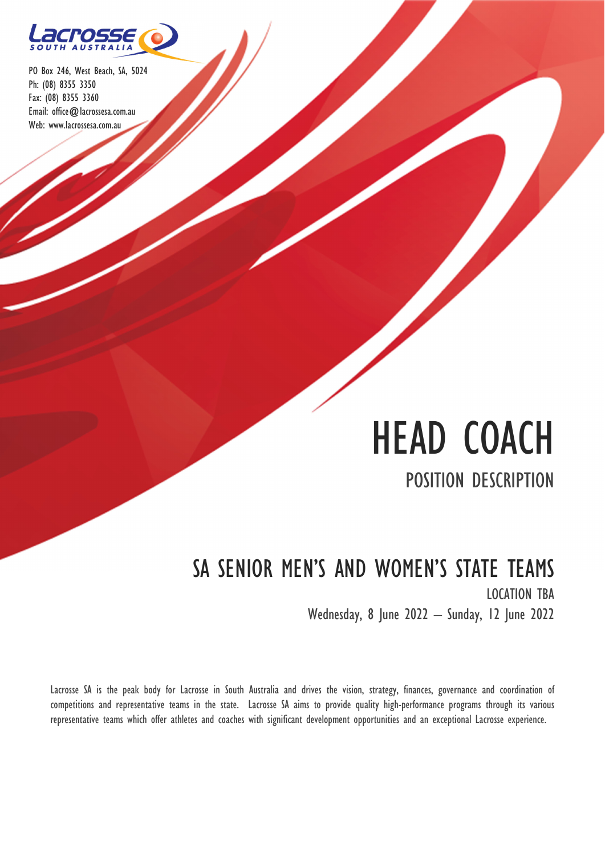

# HEAD COACH POSITION DESCRIPTION

## SA SENIOR MEN'S AND WOMEN'S STATE TEAMS LOCATION TBA Wednesday, 8 June 2022 – Sunday, 12 June 2022

Lacrosse SA is the peak body for Lacrosse in South Australia and drives the vision, strategy, finances, governance and coordination of competitions and representative teams in the state. Lacrosse SA aims to provide quality high-performance programs through its various representative teams which offer athletes and coaches with significant development opportunities and an exceptional Lacrosse experience.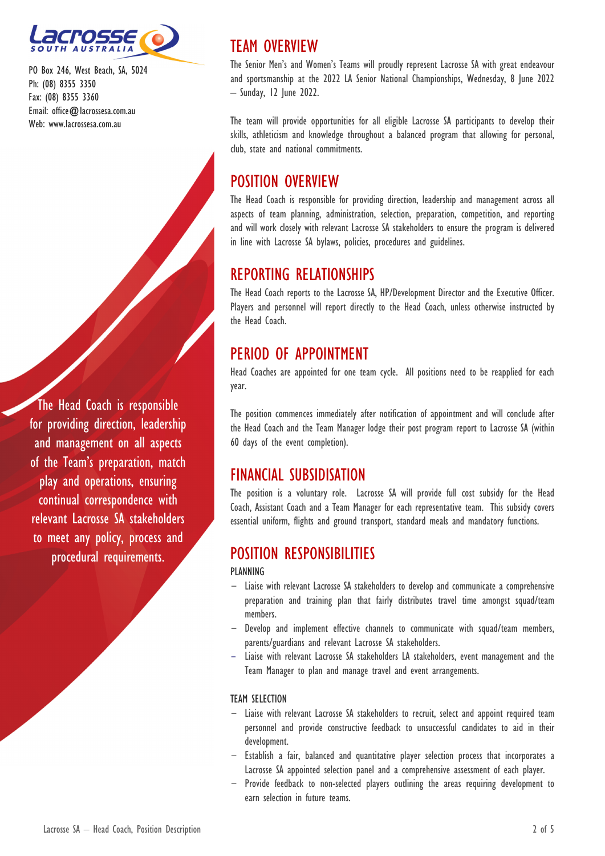

The Head Coach is responsible for providing direction, leadership and management on all aspects of the Team's preparation, match play and operations, ensuring continual correspondence with relevant Lacrosse SA stakeholders to meet any policy, process and procedural requirements.

## TEAM OVERVIEW

The Senior Men's and Women's Teams will proudly represent Lacrosse SA with great endeavour and sportsmanship at the 2022 LA Senior National Championships, Wednesday, 8 June 2022 – Sunday, 12 June 2022.

The team will provide opportunities for all eligible Lacrosse SA participants to develop their skills, athleticism and knowledge throughout a balanced program that allowing for personal, club, state and national commitments.

## POSITION OVERVIEW

The Head Coach is responsible for providing direction, leadership and management across all aspects of team planning, administration, selection, preparation, competition, and reporting and will work closely with relevant Lacrosse SA stakeholders to ensure the program is delivered in line with Lacrosse SA bylaws, policies, procedures and guidelines.

## REPORTING RELATIONSHIPS

The Head Coach reports to the Lacrosse SA, HP/Development Director and the Executive Officer. Players and personnel will report directly to the Head Coach, unless otherwise instructed by the Head Coach.

## PERIOD OF APPOINTMENT

Head Coaches are appointed for one team cycle. All positions need to be reapplied for each year.

The position commences immediately after notification of appointment and will conclude after the Head Coach and the Team Manager lodge their post program report to Lacrosse SA (within 60 days of the event completion).

## FINANCIAL SUBSIDISATION

The position is a voluntary role. Lacrosse SA will provide full cost subsidy for the Head Coach, Assistant Coach and a Team Manager for each representative team. This subsidy covers essential uniform, flights and ground transport, standard meals and mandatory functions.

## POSITION RESPONSIBILITIES

### PLANNING

- Liaise with relevant Lacrosse SA stakeholders to develop and communicate a comprehensive preparation and training plan that fairly distributes travel time amongst squad/team members.
- Develop and implement effective channels to communicate with squad/team members, parents/guardians and relevant Lacrosse SA stakeholders.
- Liaise with relevant Lacrosse SA stakeholders LA stakeholders, event management and the Team Manager to plan and manage travel and event arrangements.

### TEAM SELECTION

- Liaise with relevant Lacrosse SA stakeholders to recruit, select and appoint required team personnel and provide constructive feedback to unsuccessful candidates to aid in their development.
- Establish a fair, balanced and quantitative player selection process that incorporates a Lacrosse SA appointed selection panel and a comprehensive assessment of each player.
- Provide feedback to non-selected players outlining the areas requiring development to earn selection in future teams.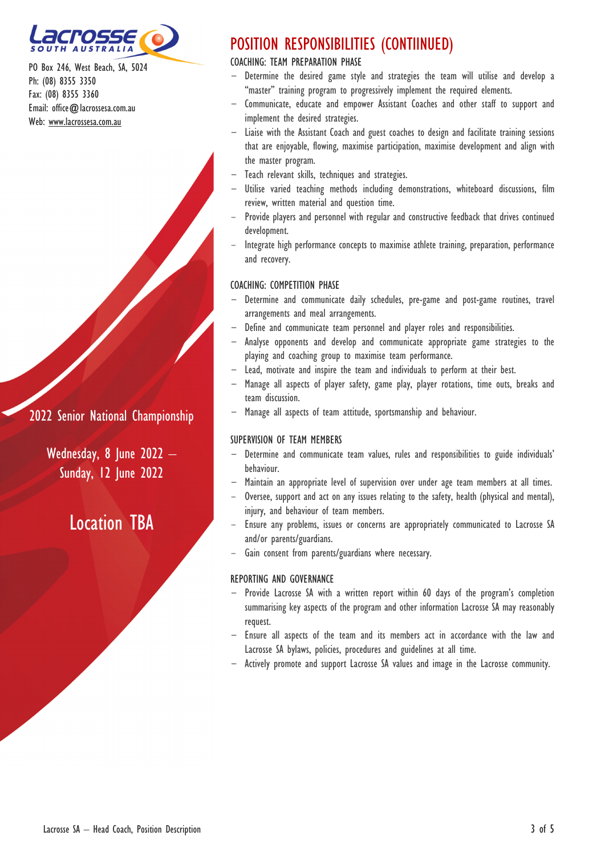

### 2022 Senior National Championship

Wednesday, 8 June  $2022 -$ Sunday, 12 June 2022

## Location TBA

## POSITION RESPONSIBILITIES (CONTIINUED)

### COACHING: TEAM PREPARATION PHASE

- Determine the desired game style and strategies the team will utilise and develop a "master" training program to progressively implement the required elements.
- Communicate, educate and empower Assistant Coaches and other staff to support and implement the desired strategies.
- Liaise with the Assistant Coach and guest coaches to design and facilitate training sessions that are enjoyable, flowing, maximise participation, maximise development and align with the master program.
- Teach relevant skills, techniques and strategies.
- Utilise varied teaching methods including demonstrations, whiteboard discussions, film review, written material and question time.
- Provide players and personnel with regular and constructive feedback that drives continued development.
- Integrate high performance concepts to maximise athlete training, preparation, performance and recovery.

#### COACHING: COMPETITION PHASE

- Determine and communicate daily schedules, pre-game and post-game routines, travel arrangements and meal arrangements.
- Define and communicate team personnel and player roles and responsibilities.
- Analyse opponents and develop and communicate appropriate game strategies to the playing and coaching group to maximise team performance.
- Lead, motivate and inspire the team and individuals to perform at their best.
- Manage all aspects of player safety, game play, player rotations, time outs, breaks and team discussion.
- Manage all aspects of team attitude, sportsmanship and behaviour.

#### SUPERVISION OF TEAM MEMBERS

- Determine and communicate team values, rules and responsibilities to guide individuals' behaviour.
- Maintain an appropriate level of supervision over under age team members at all times.
- Oversee, support and act on any issues relating to the safety, health (physical and mental), injury, and behaviour of team members.
- Ensure any problems, issues or concerns are appropriately communicated to Lacrosse SA and/or parents/guardians.
- Gain consent from parents/guardians where necessary.

#### REPORTING AND GOVERNANCE

- Provide Lacrosse SA with a written report within 60 days of the program's completion summarising key aspects of the program and other information Lacrosse SA may reasonably request.
- Ensure all aspects of the team and its members act in accordance with the law and Lacrosse SA bylaws, policies, procedures and guidelines at all time.
- Actively promote and support Lacrosse SA values and image in the Lacrosse community.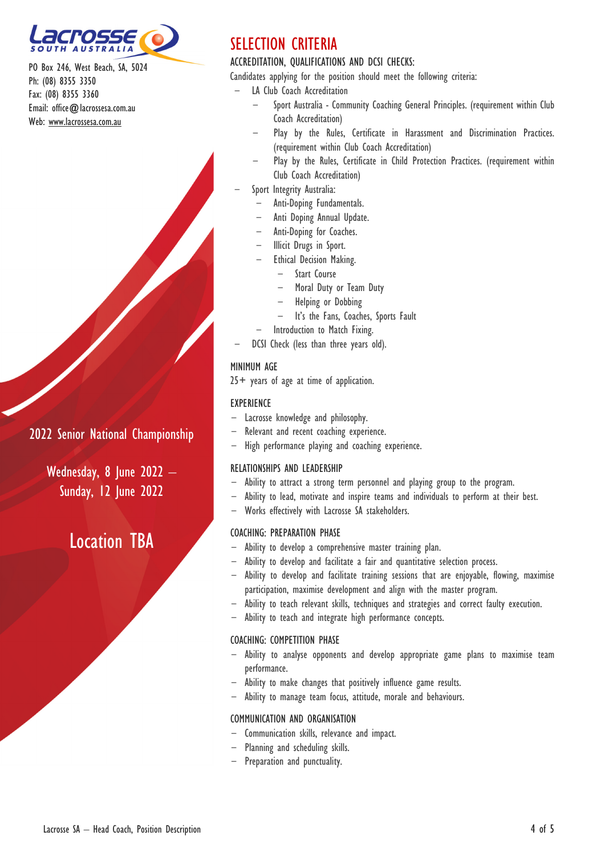

## 2022 Senior National Championship

Wednesday, 8 June 2022 – **Sunday, 12 June 2022** 

## Location TBA

## SELECTION CRITERIA

### ACCREDITATION, QUALIFICATIONS AND DCSI CHECKS:

Candidates applying for the position should meet the following criteria:

- LA Club Coach Accreditation
	- Sport Australia Community Coaching General Principles. (requirement within Club Coach Accreditation)
	- Play by the Rules, Certificate in Harassment and Discrimination Practices. (requirement within Club Coach Accreditation)
	- Play by the Rules, Certificate in Child Protection Practices. (requirement within Club Coach Accreditation)
- Sport Integrity Australia:
	- Anti-Doping Fundamentals.
	- Anti Doping Annual Update.
	- Anti-Doping for Coaches.
	- Illicit Drugs in Sport.
	- Ethical Decision Making.
		- Start Course
		- Moral Duty or Team Duty
		- Helping or Dobbing
		- It's the Fans, Coaches, Sports Fault
	- Introduction to Match Fixing.
- DCSI Check (less than three years old).

#### MINIMUM AGE

25+ years of age at time of application.

#### EXPERIENCE

- Lacrosse knowledge and philosophy.
- Relevant and recent coaching experience.
- High performance playing and coaching experience.

#### RELATIONSHIPS AND LEADERSHIP

- Ability to attract a strong term personnel and playing group to the program.
- Ability to lead, motivate and inspire teams and individuals to perform at their best.
- Works effectively with Lacrosse SA stakeholders.

### COACHING: PREPARATION PHASE

- Ability to develop a comprehensive master training plan.
- Ability to develop and facilitate a fair and quantitative selection process.
- Ability to develop and facilitate training sessions that are enjoyable, flowing, maximise participation, maximise development and align with the master program.
- Ability to teach relevant skills, techniques and strategies and correct faulty execution.
- Ability to teach and integrate high performance concepts.

#### COACHING: COMPETITION PHASE

- Ability to analyse opponents and develop appropriate game plans to maximise team performance.
- Ability to make changes that positively influence game results.
- Ability to manage team focus, attitude, morale and behaviours.

#### COMMUNICATION AND ORGANISATION

- Communication skills, relevance and impact.
- Planning and scheduling skills.
- Preparation and punctuality.